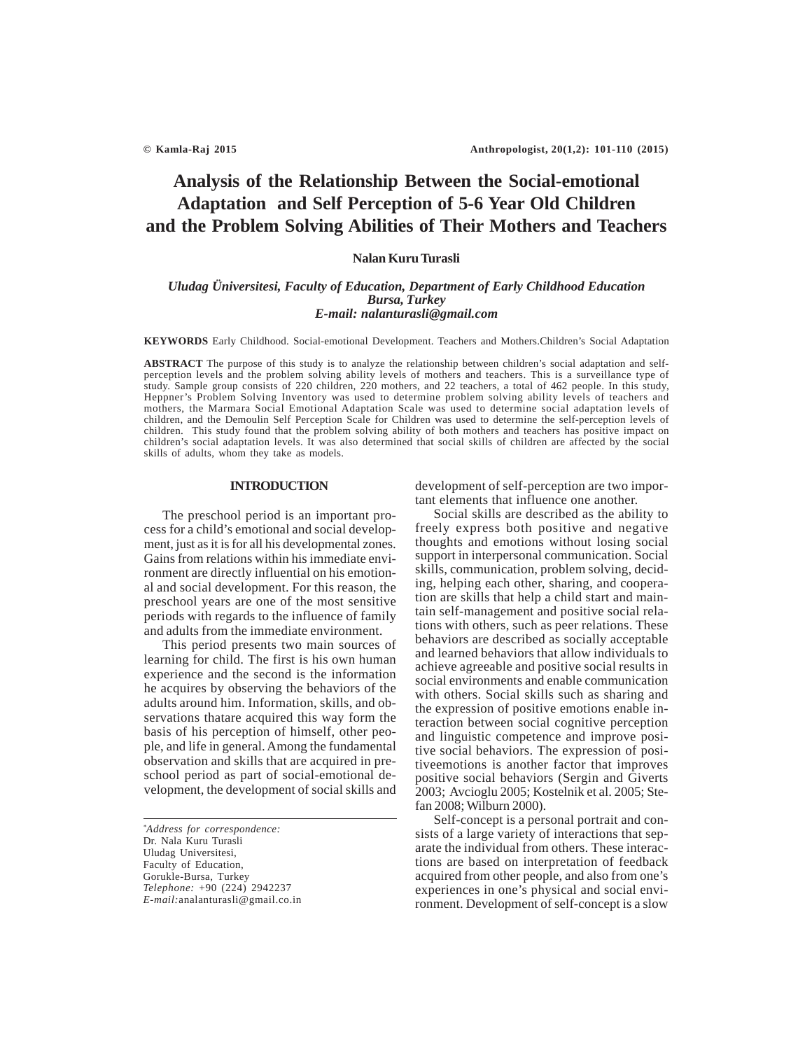# **Analysis of the Relationship Between the Social-emotional Adaptation and Self Perception of 5-6 Year Old Children and the Problem Solving Abilities of Their Mothers and Teachers**

# **Nalan Kuru Turasli**

# *Uludag Üniversitesi, Faculty of Education, Department of Early Childhood Education Bursa, Turkey E-mail: nalanturasli@gmail.com*

**KEYWORDS** Early Childhood. Social-emotional Development. Teachers and Mothers.Children's Social Adaptation

**ABSTRACT** The purpose of this study is to analyze the relationship between children's social adaptation and selfperception levels and the problem solving ability levels of mothers and teachers. This is a surveillance type of study. Sample group consists of 220 children, 220 mothers, and 22 teachers, a total of 462 people. In this study, Heppner's Problem Solving Inventory was used to determine problem solving ability levels of teachers and mothers, the Marmara Social Emotional Adaptation Scale was used to determine social adaptation levels of children, and the Demoulin Self Perception Scale for Children was used to determine the self-perception levels of children. This study found that the problem solving ability of both mothers and teachers has positive impact on children's social adaptation levels. It was also determined that social skills of children are affected by the social skills of adults, whom they take as models.

## **INTRODUCTION**

The preschool period is an important process for a child's emotional and social development, just as it is for all his developmental zones. Gains from relations within his immediate environment are directly influential on his emotional and social development. For this reason, the preschool years are one of the most sensitive periods with regards to the influence of family and adults from the immediate environment.

This period presents two main sources of learning for child. The first is his own human experience and the second is the information he acquires by observing the behaviors of the adults around him. Information, skills, and observations thatare acquired this way form the basis of his perception of himself, other people, and life in general. Among the fundamental observation and skills that are acquired in preschool period as part of social-emotional development, the development of social skills and

*\* Address for correspondence:* Dr. Nala Kuru Turasli Uludag Universitesi, Faculty of Education, Gorukle-Bursa, Turkey *Telephone:* +90 (224) 2942237 *E-mail:*analanturasli@gmail.co.in development of self-perception are two important elements that influence one another.

Social skills are described as the ability to freely express both positive and negative thoughts and emotions without losing social support in interpersonal communication. Social skills, communication, problem solving, deciding, helping each other, sharing, and cooperation are skills that help a child start and maintain self-management and positive social relations with others, such as peer relations. These behaviors are described as socially acceptable and learned behaviors that allow individuals to achieve agreeable and positive social results in social environments and enable communication with others. Social skills such as sharing and the expression of positive emotions enable interaction between social cognitive perception and linguistic competence and improve positive social behaviors. The expression of positiveemotions is another factor that improves positive social behaviors (Sergin and Giverts 2003; Avcioglu 2005; Kostelnik et al. 2005; Stefan 2008; Wilburn 2000).

Self-concept is a personal portrait and consists of a large variety of interactions that separate the individual from others. These interactions are based on interpretation of feedback acquired from other people, and also from one's experiences in one's physical and social environment. Development of self-concept is a slow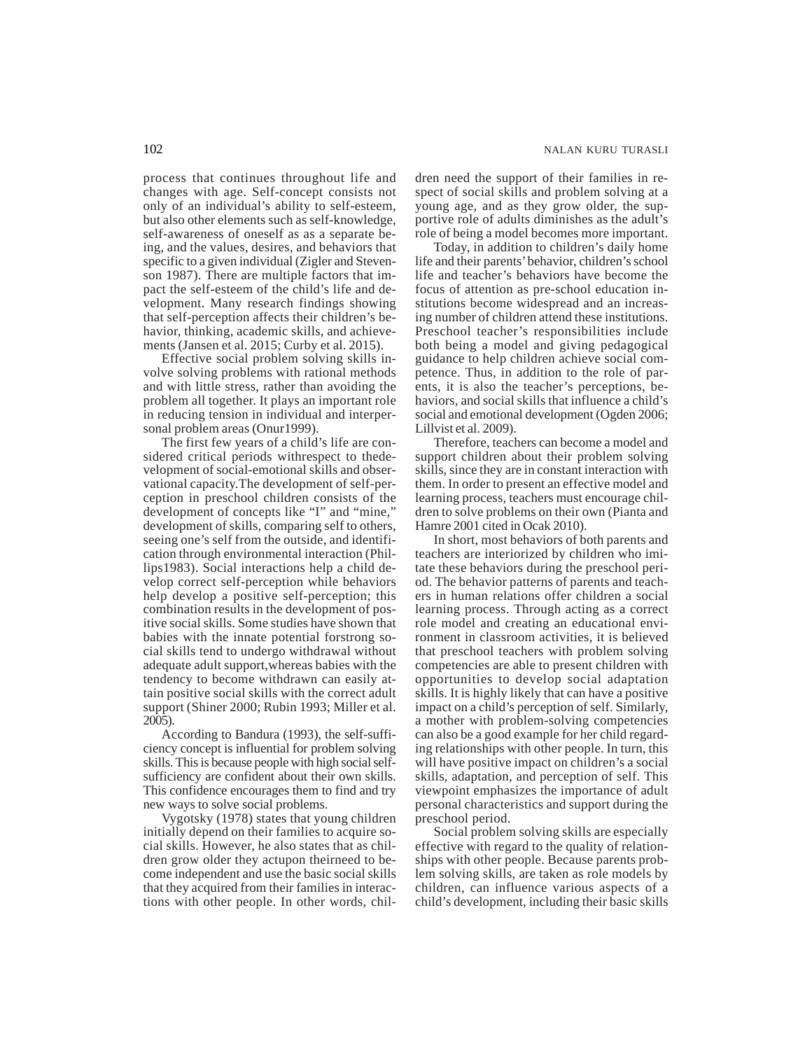process that continues throughout life and changes with age. Self-concept consists not only of an individual's ability to self-esteem, but also other elements such as self-knowledge, self-awareness of oneself as as a separate being, and the values, desires, and behaviors that specific to a given individual (Zigler and Stevenson 1987). There are multiple factors that impact the self-esteem of the child's life and development. Many research findings showing that self-perception affects their children's behavior, thinking, academic skills, and achievements (Jansen et al. 2015; Curby et al. 2015).

Effective social problem solving skills involve solving problems with rational methods and with little stress, rather than avoiding the problem all together. It plays an important role in reducing tension in individual and interpersonal problem areas (Onur1999).

The first few years of a child's life are considered critical periods withrespect to thedevelopment of social-emotional skills and observational capacity.The development of self-perception in preschool children consists of the development of concepts like "I" and "mine," development of skills, comparing self to others, seeing one's self from the outside, and identification through environmental interaction (Phillips1983). Social interactions help a child develop correct self-perception while behaviors help develop a positive self-perception; this combination results in the development of positive social skills. Some studies have shown that babies with the innate potential forstrong social skills tend to undergo withdrawal without adequate adult support,whereas babies with the tendency to become withdrawn can easily attain positive social skills with the correct adult support (Shiner 2000; Rubin 1993; Miller et al. 2005).

According to Bandura (1993), the self-sufficiency concept is influential for problem solving skills. This is because people with high social selfsufficiency are confident about their own skills. This confidence encourages them to find and try new ways to solve social problems.

Vygotsky (1978) states that young children initially depend on their families to acquire social skills. However, he also states that as children grow older they actupon theirneed to become independent and use the basic social skills that they acquired from their families in interactions with other people. In other words, children need the support of their families in respect of social skills and problem solving at a young age, and as they grow older, the supportive role of adults diminishes as the adult's role of being a model becomes more important.

Today, in addition to children's daily home life and their parents' behavior, children's school life and teacher's behaviors have become the focus of attention as pre-school education institutions become widespread and an increasing number of children attend these institutions. Preschool teacher's responsibilities include both being a model and giving pedagogical guidance to help children achieve social competence. Thus, in addition to the role of parents, it is also the teacher's perceptions, behaviors, and social skills that influence a child's social and emotional development (Ogden 2006; Lillvist et al. 2009).

Therefore, teachers can become a model and support children about their problem solving skills, since they are in constant interaction with them. In order to present an effective model and learning process, teachers must encourage children to solve problems on their own (Pianta and Hamre 2001 cited in Ocak 2010).

In short, most behaviors of both parents and teachers are interiorized by children who imitate these behaviors during the preschool period. The behavior patterns of parents and teachers in human relations offer children a social learning process. Through acting as a correct role model and creating an educational environment in classroom activities, it is believed that preschool teachers with problem solving competencies are able to present children with opportunities to develop social adaptation skills. It is highly likely that can have a positive impact on a child's perception of self. Similarly, a mother with problem-solving competencies can also be a good example for her child regarding relationships with other people. In turn, this will have positive impact on children's a social skills, adaptation, and perception of self. This viewpoint emphasizes the importance of adult personal characteristics and support during the preschool period.

Social problem solving skills are especially effective with regard to the quality of relationships with other people. Because parents problem solving skills, are taken as role models by children, can influence various aspects of a child's development, including their basic skills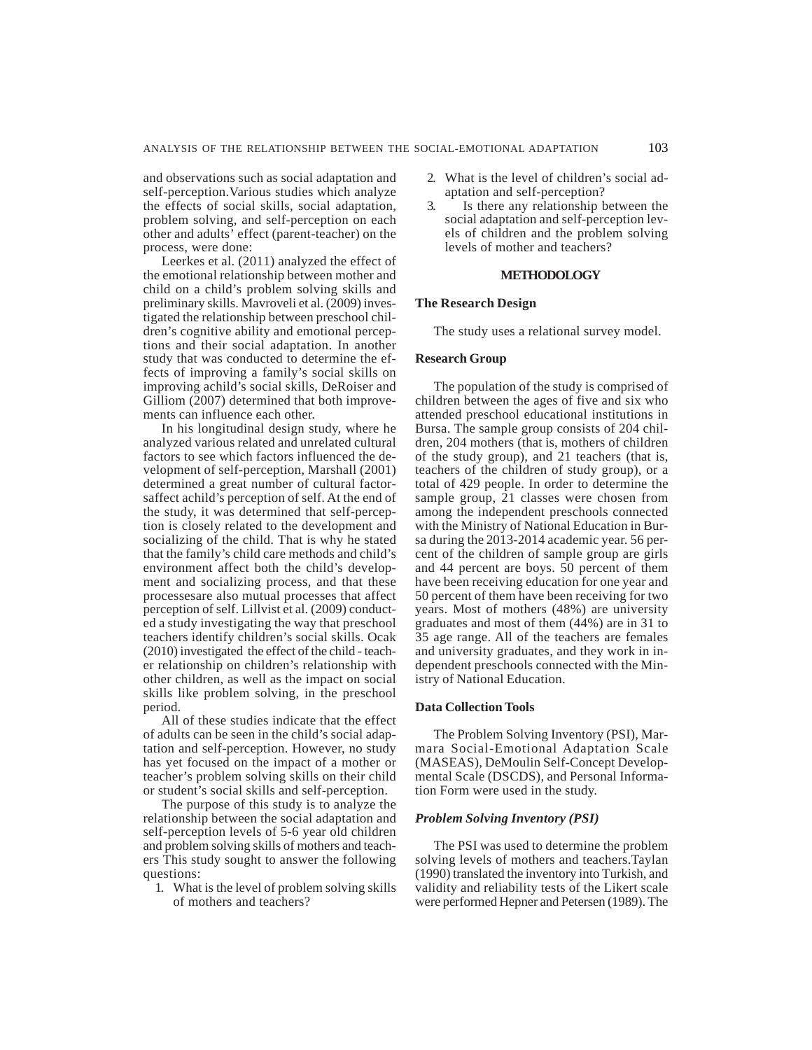and observations such as social adaptation and self-perception.Various studies which analyze the effects of social skills, social adaptation, problem solving, and self-perception on each other and adults' effect (parent-teacher) on the process, were done:

Leerkes et al. (2011) analyzed the effect of the emotional relationship between mother and child on a child's problem solving skills and preliminary skills. Mavroveli et al. (2009) investigated the relationship between preschool children's cognitive ability and emotional perceptions and their social adaptation. In another study that was conducted to determine the effects of improving a family's social skills on improving achild's social skills, DeRoiser and Gilliom (2007) determined that both improvements can influence each other.

In his longitudinal design study, where he analyzed various related and unrelated cultural factors to see which factors influenced the development of self-perception, Marshall (2001) determined a great number of cultural factorsaffect achild's perception of self. At the end of the study, it was determined that self-perception is closely related to the development and socializing of the child. That is why he stated that the family's child care methods and child's environment affect both the child's development and socializing process, and that these processesare also mutual processes that affect perception of self. Lillvist et al. (2009) conducted a study investigating the way that preschool teachers identify children's social skills. Ocak (2010) investigated the effect of the child - teacher relationship on children's relationship with other children, as well as the impact on social skills like problem solving, in the preschool period.

All of these studies indicate that the effect of adults can be seen in the child's social adaptation and self-perception. However, no study has yet focused on the impact of a mother or teacher's problem solving skills on their child or student's social skills and self-perception.

The purpose of this study is to analyze the relationship between the social adaptation and self-perception levels of 5-6 year old children and problem solving skills of mothers and teachers This study sought to answer the following questions:

1. What is the level of problem solving skills of mothers and teachers?

- 2. What is the level of children's social adaptation and self-perception?
- 3. Is there any relationship between the social adaptation and self-perception levels of children and the problem solving levels of mother and teachers?

## **METHODOLOGY**

#### **The Research Design**

The study uses a relational survey model.

#### **Research Group**

The population of the study is comprised of children between the ages of five and six who attended preschool educational institutions in Bursa. The sample group consists of 204 children, 204 mothers (that is, mothers of children of the study group), and 21 teachers (that is, teachers of the children of study group), or a total of 429 people. In order to determine the sample group, 21 classes were chosen from among the independent preschools connected with the Ministry of National Education in Bursa during the 2013-2014 academic year. 56 percent of the children of sample group are girls and 44 percent are boys. 50 percent of them have been receiving education for one year and 50 percent of them have been receiving for two years. Most of mothers (48%) are university graduates and most of them (44%) are in 31 to 35 age range. All of the teachers are females and university graduates, and they work in independent preschools connected with the Ministry of National Education.

#### **Data Collection Tools**

The Problem Solving Inventory (PSI), Marmara Social-Emotional Adaptation Scale (MASEAS), DeMoulin Self-Concept Developmental Scale (DSCDS), and Personal Information Form were used in the study.

#### *Problem Solving Inventory (PSI)*

The PSI was used to determine the problem solving levels of mothers and teachers.Taylan (1990) translated the inventory into Turkish, and validity and reliability tests of the Likert scale were performed Hepner and Petersen (1989). The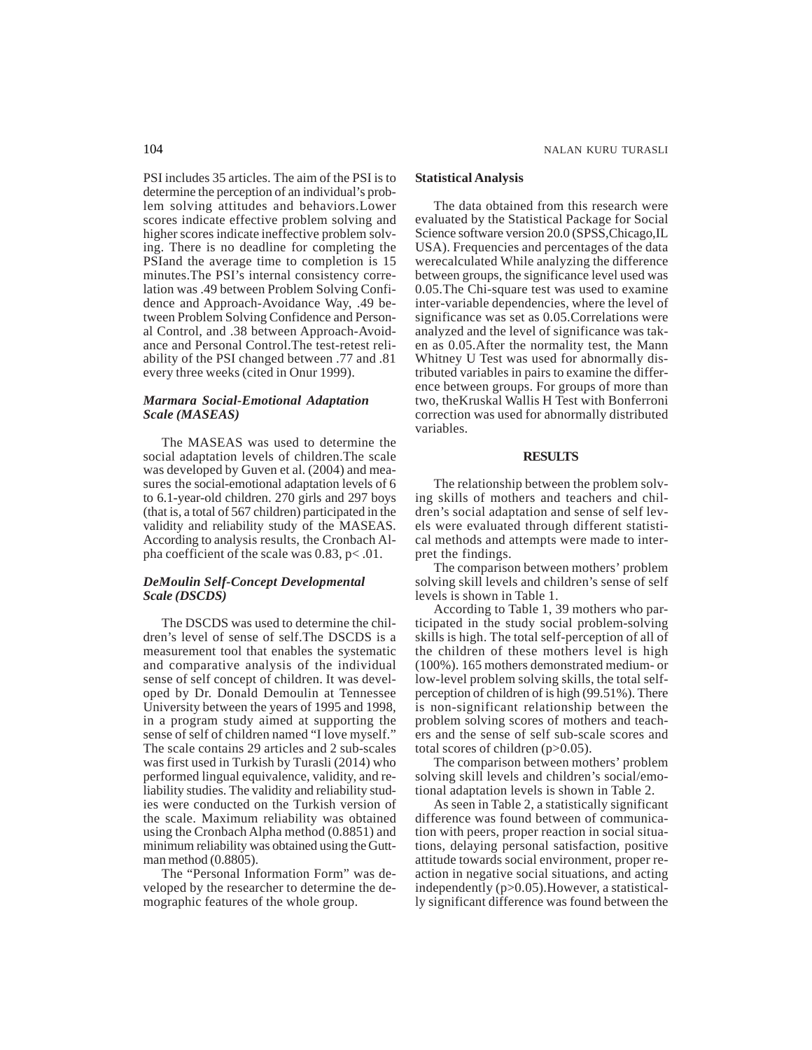PSI includes 35 articles. The aim of the PSI is to determine the perception of an individual's problem solving attitudes and behaviors.Lower scores indicate effective problem solving and higher scores indicate ineffective problem solving. There is no deadline for completing the PSIand the average time to completion is 15 minutes.The PSI's internal consistency correlation was .49 between Problem Solving Confidence and Approach-Avoidance Way, .49 between Problem Solving Confidence and Personal Control, and .38 between Approach-Avoidance and Personal Control.The test-retest reliability of the PSI changed between .77 and .81 every three weeks (cited in Onur 1999).

## *Marmara Social-Emotional Adaptation Scale (MASEAS)*

The MASEAS was used to determine the social adaptation levels of children.The scale was developed by Guven et al. (2004) and measures the social-emotional adaptation levels of 6 to 6.1-year-old children. 270 girls and 297 boys (that is, a total of 567 children) participated in the validity and reliability study of the MASEAS. According to analysis results, the Cronbach Alpha coefficient of the scale was  $0.83$ ,  $p < .01$ .

# *DeMoulin Self-Concept Developmental Scale (DSCDS)*

The DSCDS was used to determine the children's level of sense of self.The DSCDS is a measurement tool that enables the systematic and comparative analysis of the individual sense of self concept of children. It was developed by Dr. Donald Demoulin at Tennessee University between the years of 1995 and 1998, in a program study aimed at supporting the sense of self of children named "I love myself." The scale contains 29 articles and 2 sub-scales was first used in Turkish by Turasli (2014) who performed lingual equivalence, validity, and reliability studies. The validity and reliability studies were conducted on the Turkish version of the scale. Maximum reliability was obtained using the Cronbach Alpha method (0.8851) and minimum reliability was obtained using the Guttman method (0.8805).

The "Personal Information Form" was developed by the researcher to determine the demographic features of the whole group.

## **Statistical Analysis**

The data obtained from this research were evaluated by the Statistical Package for Social Science software version 20.0 (SPSS,Chicago,IL USA). Frequencies and percentages of the data werecalculated While analyzing the difference between groups, the significance level used was 0.05.The Chi-square test was used to examine inter-variable dependencies, where the level of significance was set as 0.05.Correlations were analyzed and the level of significance was taken as 0.05.After the normality test, the Mann Whitney U Test was used for abnormally distributed variables in pairs to examine the difference between groups. For groups of more than two, theKruskal Wallis H Test with Bonferroni correction was used for abnormally distributed variables.

## **RESULTS**

The relationship between the problem solving skills of mothers and teachers and children's social adaptation and sense of self levels were evaluated through different statistical methods and attempts were made to interpret the findings.

The comparison between mothers' problem solving skill levels and children's sense of self levels is shown in Table 1.

According to Table 1, 39 mothers who participated in the study social problem-solving skills is high. The total self-perception of all of the children of these mothers level is high (100%). 165 mothers demonstrated medium- or low-level problem solving skills, the total selfperception of children of is high (99.51%). There is non-significant relationship between the problem solving scores of mothers and teachers and the sense of self sub-scale scores and total scores of children (p>0.05).

The comparison between mothers' problem solving skill levels and children's social/emotional adaptation levels is shown in Table 2.

As seen in Table 2, a statistically significant difference was found between of communication with peers, proper reaction in social situations, delaying personal satisfaction, positive attitude towards social environment, proper reaction in negative social situations, and acting independently (p>0.05).However, a statistically significant difference was found between the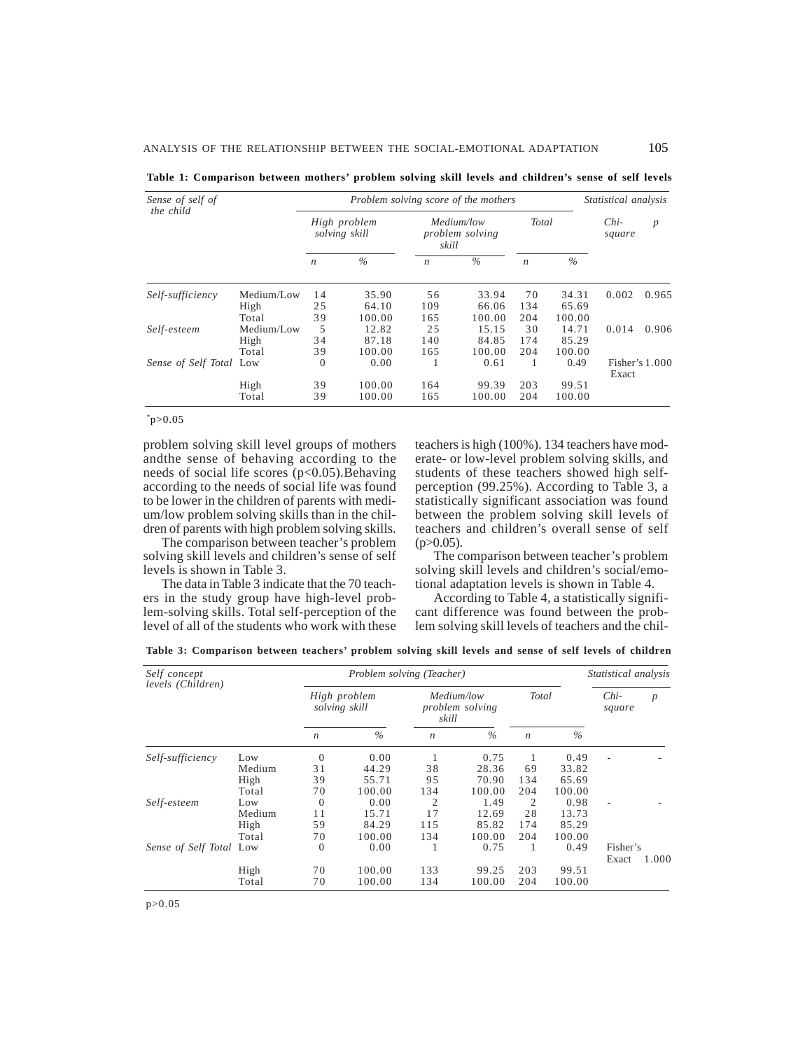| Sense of self of        |               |                  |                               |                  | Problem solving score of the mothers |                  |                 | Statistical analysis |                  |
|-------------------------|---------------|------------------|-------------------------------|------------------|--------------------------------------|------------------|-----------------|----------------------|------------------|
| the child               |               |                  | High problem<br>solving skill | skill            | Medium/low<br>problem solving        | Total            |                 | $Chi-$<br>square     | $\boldsymbol{p}$ |
|                         |               | $\boldsymbol{n}$ | $\frac{0}{6}$                 | $\boldsymbol{n}$ | $\%$                                 | $\boldsymbol{n}$ | $\%$            |                      |                  |
| Self-sufficiency        | Medium/Low    | 14               | 35.90                         | 56               | 33.94                                | 70               | 34.31           | 0.002                | 0.965            |
|                         | High<br>Total | 25<br>39         | 64.10<br>100.00               | 109<br>165       | 66.06<br>100.00                      | 134<br>204       | 65.69<br>100.00 |                      |                  |
| Self-esteem             | Medium/Low    | 5<br>34          | 12.82<br>87.18                | 25<br>140        | 15.15<br>84.85                       | 30<br>174        | 14.71<br>85.29  | 0.014                | 0.906            |
|                         | High<br>Total | 39               | 100.00                        | 165              | 100.00                               | 204              | 100.00          |                      |                  |
| Sense of Self Total Low |               | $\theta$         | 0.00                          |                  | 0.61                                 |                  | 0.49            | Exact                | Fisher's $1.000$ |
|                         | High<br>Total | 39<br>39         | 100.00<br>100.00              | 164<br>165       | 99.39<br>100.00                      | 203<br>204       | 99.51<br>100.00 |                      |                  |

**Table 1: Comparison between mothers' problem solving skill levels and children's sense of self levels**

 $\degree$ p>0.05

problem solving skill level groups of mothers andthe sense of behaving according to the needs of social life scores (p<0.05).Behaving according to the needs of social life was found to be lower in the children of parents with medium/low problem solving skills than in the children of parents with high problem solving skills.

The comparison between teacher's problem solving skill levels and children's sense of self levels is shown in Table 3.

The data in Table 3 indicate that the 70 teachers in the study group have high-level problem-solving skills. Total self-perception of the level of all of the students who work with these teachers is high (100%). 134 teachers have moderate- or low-level problem solving skills, and students of these teachers showed high selfperception (99.25%). According to Table 3, a statistically significant association was found between the problem solving skill levels of teachers and children's overall sense of self  $(p>0.05)$ .

The comparison between teacher's problem solving skill levels and children's social/emotional adaptation levels is shown in Table 4.

According to Table 4, a statistically significant difference was found between the problem solving skill levels of teachers and the chil-

**Table 3: Comparison between teachers' problem solving skill levels and sense of self levels of children**

| Self concept            |        |                  | Problem solving (Teacher)     |                  |                               |                  |        | Statistical analysis |                  |
|-------------------------|--------|------------------|-------------------------------|------------------|-------------------------------|------------------|--------|----------------------|------------------|
| levels (Children)       |        |                  | High problem<br>solving skill | skill            | Medium/low<br>problem solving | Total            |        | $Chi-$<br>square     | $\boldsymbol{p}$ |
|                         |        | $\boldsymbol{n}$ | $\frac{0}{6}$                 | $\boldsymbol{n}$ | $\frac{0}{6}$                 | $\boldsymbol{n}$ | $\%$   |                      |                  |
| Self-sufficiency        | Low    | $\Omega$         | 0.00                          |                  | 0.75                          |                  | 0.49   | ٠                    |                  |
|                         | Medium | 31               | 44.29                         | 38               | 28.36                         | 69               | 33.82  |                      |                  |
|                         | High   | 39               | 55.71                         | 95               | 70.90                         | 134              | 65.69  |                      |                  |
|                         | Total  | 70               | 100.00                        | 134              | 100.00                        | 204              | 100.00 |                      |                  |
| Self-esteem             | Low    | $\theta$         | 0.00                          | 2                | 1.49                          | 2                | 0.98   |                      |                  |
|                         | Medium | 11               | 15.71                         | 17               | 12.69                         | 28               | 13.73  |                      |                  |
|                         | High   | 59               | 84.29                         | 115              | 85.82                         | 174              | 85.29  |                      |                  |
|                         | Total  | 70               | 100.00                        | 134              | 100.00                        | 204              | 100.00 |                      |                  |
| Sense of Self Total Low |        | $\theta$         | 0.00                          |                  | 0.75                          |                  | 0.49   | Fisher's             |                  |
|                         |        |                  |                               |                  |                               |                  |        | Exact                | 1.000            |
|                         | High   | 70               | 100.00                        | 133              | 99.25                         | 203              | 99.51  |                      |                  |
|                         | Total  | 70               | 100.00                        | 134              | 100.00                        | 204              | 100.00 |                      |                  |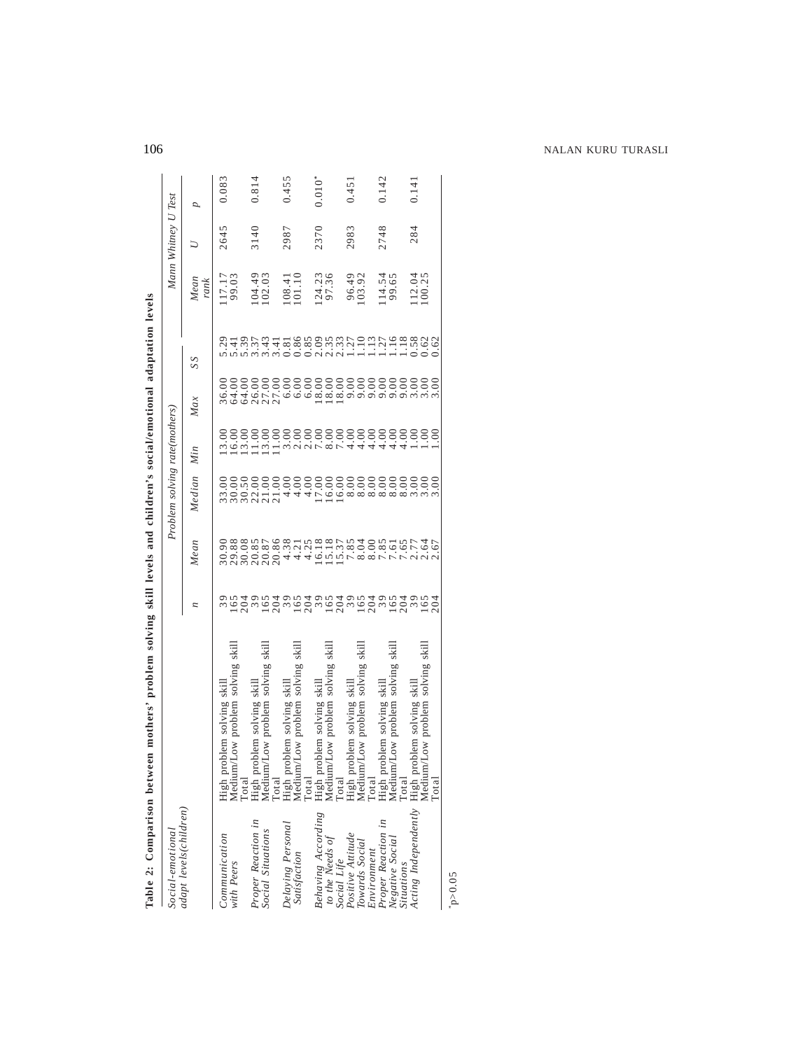|                                                | Table 2: Comparison between mothers' problem solving skill levels and children's social/emotional adaptation levels |                                                                                   |      |                                                        |     |                                                                                     |    |                  |                     |             |
|------------------------------------------------|---------------------------------------------------------------------------------------------------------------------|-----------------------------------------------------------------------------------|------|--------------------------------------------------------|-----|-------------------------------------------------------------------------------------|----|------------------|---------------------|-------------|
| Social-emotional                               |                                                                                                                     |                                                                                   |      | Problem solving rate(mothers)                          |     |                                                                                     |    |                  | Mann Whitney U Test |             |
| adapt levels(children)                         |                                                                                                                     | $\overline{a}$                                                                    | Mean | Median                                                 | Min | Max                                                                                 | SS | Mean<br>rank     | コ                   |             |
| Communication<br>with Peers                    | lli<br>High problem solving skill<br>Medium/Low problem solving                                                     | MAQ HU HU HU HU HU<br>WAQ MAQ MAQ MAQ MAQ MAQ MAQ<br>S MAQ MAQ MAQ MAQ MAQ MAQ MA |      | 0000000000000000000000<br>mondial ddd: 1990<br>mondial |     | 36.00                                                                               |    | 117.17<br>99.03  | 2645                | 0.083       |
|                                                | Total                                                                                                               |                                                                                   |      |                                                        |     |                                                                                     |    |                  |                     |             |
| Proper Reaction in<br><b>Social Situations</b> | skill<br>High problem solving skill<br>Medium/Low problem solving                                                   |                                                                                   |      |                                                        |     | 8888888888888888888<br>उत्तर प्रदेश पर्व संस्कृत के के के के काम माने<br>एक संसद्धा |    | 104.49<br>102.03 | 3140                | 0.814       |
|                                                | Total                                                                                                               |                                                                                   |      |                                                        |     |                                                                                     |    |                  |                     |             |
| Delaying Personal                              |                                                                                                                     |                                                                                   |      |                                                        |     |                                                                                     |    | 108.41           | 2987                | 0.455       |
| Satisfaction                                   | skill<br>High problem solving skill<br>Medium/Low problem solving                                                   |                                                                                   |      |                                                        |     |                                                                                     |    | 101.10           |                     |             |
|                                                | Total                                                                                                               |                                                                                   |      |                                                        |     |                                                                                     |    |                  |                     |             |
| Behaving According                             | High problem solving skill<br>Medium/Low problem solving                                                            |                                                                                   |      |                                                        |     |                                                                                     |    | 124.23<br>97.36  | 2370                | $0.010^{*}$ |
| to the Needs of                                | skill                                                                                                               |                                                                                   |      |                                                        |     |                                                                                     |    |                  |                     |             |
| Social Life                                    | Total                                                                                                               |                                                                                   |      |                                                        |     |                                                                                     |    |                  |                     |             |
| Positive Attitude                              | High problem solving skill<br>Medium/Low problem solv                                                               |                                                                                   |      |                                                        |     |                                                                                     |    | 96.49            | 2983                | 0.451       |
| Towards Social                                 | skill<br>solving                                                                                                    |                                                                                   |      |                                                        |     |                                                                                     |    | 103.92           |                     |             |
| Environment                                    | Total                                                                                                               |                                                                                   |      |                                                        |     |                                                                                     |    |                  |                     |             |
| Proper Reaction in                             |                                                                                                                     |                                                                                   |      |                                                        |     |                                                                                     |    |                  | 2748                | 0.142       |
| Negative Social                                | skill<br>High problem solving skill<br>Medium/Low problem solving                                                   |                                                                                   |      |                                                        |     |                                                                                     |    | 114.54<br>99.65  |                     |             |
| <b>Situations</b>                              | Total                                                                                                               |                                                                                   |      |                                                        |     |                                                                                     |    |                  |                     |             |
|                                                | Acting Independently High problem solving skill                                                                     |                                                                                   |      |                                                        |     |                                                                                     |    | 112.04           | 284                 | 0.141       |
|                                                | skill<br>solving<br>problem<br>Medium/Low                                                                           |                                                                                   |      |                                                        |     |                                                                                     |    |                  |                     |             |
|                                                | Total                                                                                                               |                                                                                   |      |                                                        |     |                                                                                     |    |                  |                     |             |
| $50.0<$ q                                      |                                                                                                                     |                                                                                   |      |                                                        |     |                                                                                     |    |                  |                     |             |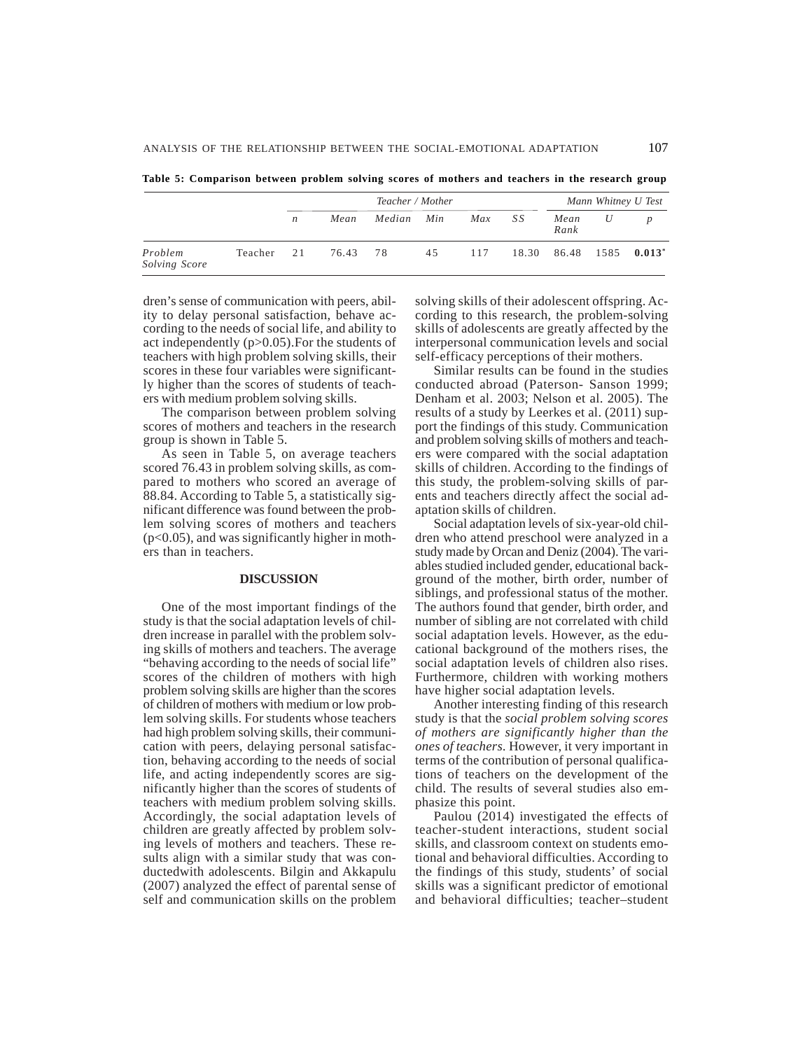**Table 5: Comparison between problem solving scores of mothers and teachers in the research group**

|                          |            |   |          | Teacher / Mother |        |                        |              | Mann Whitney U Test |                  |
|--------------------------|------------|---|----------|------------------|--------|------------------------|--------------|---------------------|------------------|
|                          |            | n | Mean     | Median Min       | Max    | SS                     | Mean<br>Rank | U                   | $\boldsymbol{v}$ |
| Problem<br>Solving Score | Teacher 21 |   | 76.43 78 |                  | 45 117 | 18.30 86.48 1585 0.013 |              |                     |                  |

dren's sense of communication with peers, ability to delay personal satisfaction, behave according to the needs of social life, and ability to act independently (p>0.05).For the students of teachers with high problem solving skills, their scores in these four variables were significantly higher than the scores of students of teachers with medium problem solving skills.

The comparison between problem solving scores of mothers and teachers in the research group is shown in Table 5.

As seen in Table 5, on average teachers scored 76.43 in problem solving skills, as compared to mothers who scored an average of 88.84. According to Table 5, a statistically significant difference was found between the problem solving scores of mothers and teachers (p<0.05), and was significantly higher in mothers than in teachers.

## **DISCUSSION**

One of the most important findings of the study is that the social adaptation levels of children increase in parallel with the problem solving skills of mothers and teachers. The average "behaving according to the needs of social life" scores of the children of mothers with high problem solving skills are higher than the scores of children of mothers with medium or low problem solving skills. For students whose teachers had high problem solving skills, their communication with peers, delaying personal satisfaction, behaving according to the needs of social life, and acting independently scores are significantly higher than the scores of students of teachers with medium problem solving skills. Accordingly, the social adaptation levels of children are greatly affected by problem solving levels of mothers and teachers. These results align with a similar study that was conductedwith adolescents. Bilgin and Akkapulu (2007) analyzed the effect of parental sense of self and communication skills on the problem solving skills of their adolescent offspring. According to this research, the problem-solving skills of adolescents are greatly affected by the interpersonal communication levels and social self-efficacy perceptions of their mothers.

Similar results can be found in the studies conducted abroad (Paterson- Sanson 1999; Denham et al. 2003; Nelson et al. 2005). The results of a study by Leerkes et al. (2011) support the findings of this study. Communication and problem solving skills of mothers and teachers were compared with the social adaptation skills of children. According to the findings of this study, the problem-solving skills of parents and teachers directly affect the social adaptation skills of children.

Social adaptation levels of six-year-old children who attend preschool were analyzed in a study made by Orcan and Deniz (2004). The variables studied included gender, educational background of the mother, birth order, number of siblings, and professional status of the mother. The authors found that gender, birth order, and number of sibling are not correlated with child social adaptation levels. However, as the educational background of the mothers rises, the social adaptation levels of children also rises. Furthermore, children with working mothers have higher social adaptation levels.

Another interesting finding of this research study is that the *social problem solving scores of mothers are significantly higher than the ones of teachers.* However, it very important in terms of the contribution of personal qualifications of teachers on the development of the child. The results of several studies also emphasize this point.

Paulou (2014) investigated the effects of teacher-student interactions, student social skills, and classroom context on students emotional and behavioral difficulties. According to the findings of this study, students' of social skills was a significant predictor of emotional and behavioral difficulties; teacher–student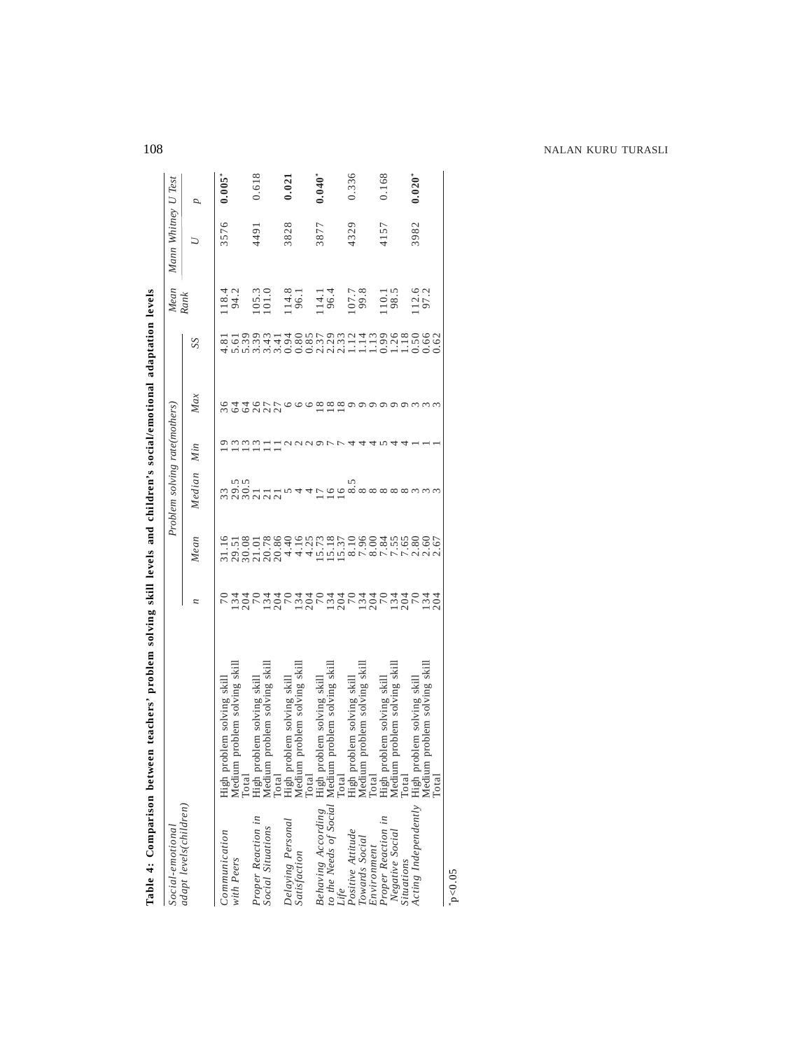|                                              | Table 4: Comparison between teachers' problem solving skill levels and children's social/emotional adaptation levels |   |      |                                                                                                                                                                                                                                  |                                                         |                                  |    |                       |                     |                      |
|----------------------------------------------|----------------------------------------------------------------------------------------------------------------------|---|------|----------------------------------------------------------------------------------------------------------------------------------------------------------------------------------------------------------------------------------|---------------------------------------------------------|----------------------------------|----|-----------------------|---------------------|----------------------|
| Social-emotional                             |                                                                                                                      |   |      | Problem solving rate(mothers)                                                                                                                                                                                                    |                                                         |                                  |    | Mean                  | Mann Whitney U Test |                      |
| adapt levels(children)                       |                                                                                                                      | n | Mean | Median                                                                                                                                                                                                                           | Min                                                     | Max                              | SS | Rank                  | $\cup$              | p                    |
| Communication                                |                                                                                                                      |   |      |                                                                                                                                                                                                                                  |                                                         |                                  |    |                       | 3576                | 0.005"               |
| with Peers                                   | High problem solving sk.u.<br>Medium problem solving skill                                                           |   |      |                                                                                                                                                                                                                                  |                                                         |                                  |    | 118.4<br>94.2         |                     |                      |
|                                              |                                                                                                                      |   |      |                                                                                                                                                                                                                                  |                                                         |                                  |    |                       | 4491                | 0.618                |
| Proper Reaction in<br>Social Situations      | Total<br>High problem solving skill<br>Medium problem solving skill                                                  |   |      | conduction dia conduction conduction of the conduction of the conduction of the conduction of the conduction o<br>Conduction of the conduction of the conduction of conduction of conduction of conduction of conduction of cond | $\begin{array}{c}\n0.0000000 \\ 0.0000000\n\end{array}$ | w c c y y y y<br>c q q c l l l c |    | $\frac{105.3}{101.0}$ |                     |                      |
| Delaying Personal                            |                                                                                                                      |   |      |                                                                                                                                                                                                                                  |                                                         |                                  |    |                       | 3828                | 0.021                |
| Satisfaction                                 | Total<br>High problem solving skill<br>Medium problem solving skill<br>Total                                         |   |      |                                                                                                                                                                                                                                  |                                                         | $\circ$                          |    | 114.8                 |                     |                      |
|                                              |                                                                                                                      |   |      |                                                                                                                                                                                                                                  |                                                         |                                  |    |                       |                     |                      |
|                                              |                                                                                                                      |   |      |                                                                                                                                                                                                                                  |                                                         |                                  |    | 114.1<br>96.4         | 3877                | $0.040$ <sup>*</sup> |
| Behaving According<br>to the Needs of Social | High problem solving skin<br>Medium problem solving skill                                                            |   |      |                                                                                                                                                                                                                                  |                                                         | gggaadaadamn                     |    |                       |                     |                      |
|                                              |                                                                                                                      |   |      |                                                                                                                                                                                                                                  |                                                         |                                  |    |                       |                     |                      |
|                                              |                                                                                                                      |   |      |                                                                                                                                                                                                                                  |                                                         |                                  |    | 107.7                 | 4329                | 0.336                |
| Positive Attitude<br>Towards Social          | Total<br>High problem solving skill<br>Medium problem solving skill<br>Total                                         |   |      |                                                                                                                                                                                                                                  |                                                         |                                  |    |                       |                     |                      |
|                                              |                                                                                                                      |   |      |                                                                                                                                                                                                                                  |                                                         |                                  |    |                       |                     |                      |
| Environment<br>Proper Reaction in            | High problem solving skill<br>Medium problem solving skill<br>Total                                                  |   |      |                                                                                                                                                                                                                                  |                                                         |                                  |    | $\frac{10.1}{98.5}$   | 4157                | 0.168                |
|                                              |                                                                                                                      |   |      |                                                                                                                                                                                                                                  |                                                         |                                  |    |                       |                     |                      |
| Negative Social<br>Situations                |                                                                                                                      |   |      |                                                                                                                                                                                                                                  |                                                         |                                  |    |                       |                     |                      |
|                                              | <i>Junions Independently</i> High problem solving skill<br>A <i>cting Independently</i> Medium problem solving skill |   |      |                                                                                                                                                                                                                                  |                                                         |                                  |    | $112.6$<br>97.2       | 3982                | $0.020$ <sup>*</sup> |
|                                              |                                                                                                                      |   |      |                                                                                                                                                                                                                                  |                                                         |                                  |    |                       |                     |                      |
|                                              | $_{\rm [total]}$                                                                                                     |   | 2.67 |                                                                                                                                                                                                                                  |                                                         |                                  |    |                       |                     |                      |
| 50.059                                       |                                                                                                                      |   |      |                                                                                                                                                                                                                                  |                                                         |                                  |    |                       |                     |                      |

108 NALAN KURU TURASLI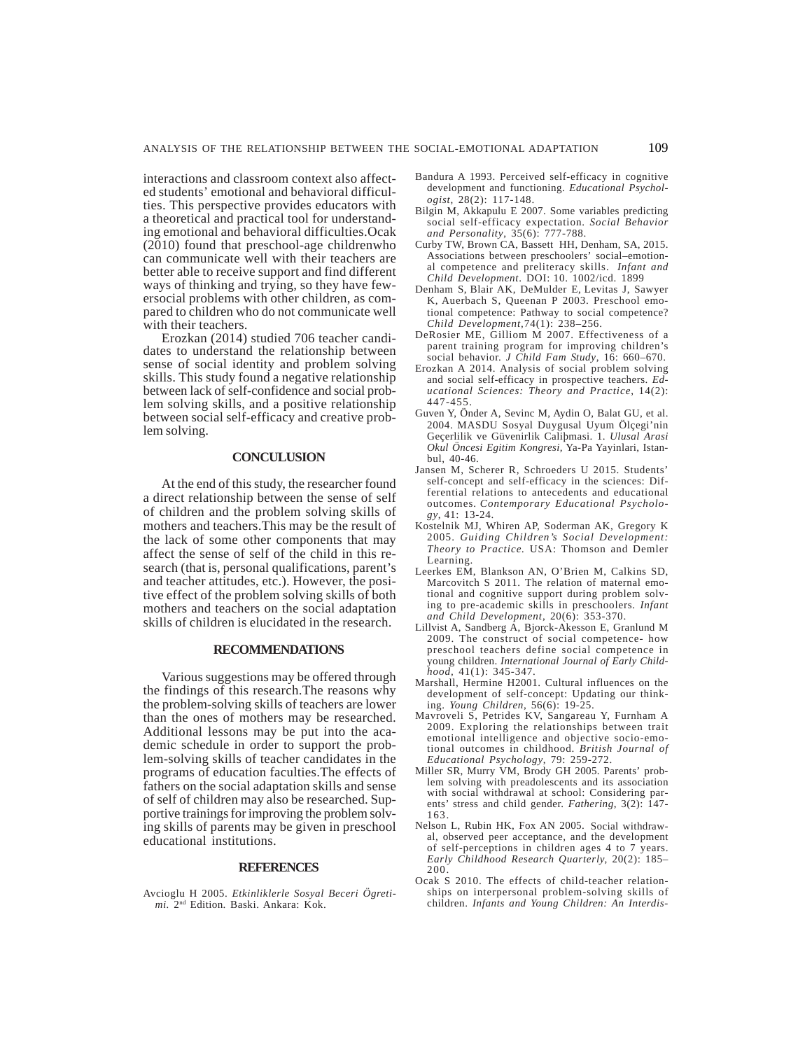interactions and classroom context also affected students' emotional and behavioral difficulties. This perspective provides educators with a theoretical and practical tool for understanding emotional and behavioral difficulties.Ocak (2010) found that preschool-age childrenwho can communicate well with their teachers are better able to receive support and find different ways of thinking and trying, so they have fewersocial problems with other children, as compared to children who do not communicate well with their teachers.

Erozkan (2014) studied 706 teacher candidates to understand the relationship between sense of social identity and problem solving skills. This study found a negative relationship between lack of self-confidence and social problem solving skills, and a positive relationship between social self-efficacy and creative problem solving.

## **CONCULUSION**

At the end of this study, the researcher found a direct relationship between the sense of self of children and the problem solving skills of mothers and teachers.This may be the result of the lack of some other components that may affect the sense of self of the child in this research (that is, personal qualifications, parent's and teacher attitudes, etc.). However, the positive effect of the problem solving skills of both mothers and teachers on the social adaptation skills of children is elucidated in the research.

#### **RECOMMENDATIONS**

Various suggestions may be offered through the findings of this research.The reasons why the problem-solving skills of teachers are lower than the ones of mothers may be researched. Additional lessons may be put into the academic schedule in order to support the problem-solving skills of teacher candidates in the programs of education faculties.The effects of fathers on the social adaptation skills and sense of self of children may also be researched. Supportive trainings for improving the problem solving skills of parents may be given in preschool educational institutions.

#### **REFERENCES**

Avcioglu H 2005. *Etkinliklerle Sosyal Beceri Ögretimi.* 2nd Edition. Baski. Ankara: Kok.

- Bandura A 1993. Perceived self-efficacy in cognitive development and functioning. *Educational Psychologist*, 28(2): 117-148.
- Bilgin M, Akkapulu E 2007. Some variables predicting social self-efficacy expectation. *Social Behavior and Personality*, 35(6): 777-788.
- Curby TW, Brown CA, Bassett HH, Denham, SA, 2015. Associations between preschoolers' social–emotional competence and preliteracy skills. *Infant and Child Development*. DOI: 10. 1002/icd. 1899
- Denham S, Blair AK, DeMulder E, Levitas J, Sawyer K, Auerbach S, Queenan P 2003. Preschool emotional competence: Pathway to social competence? *Child Development,*74(1): 238–256.
- DeRosier ME, Gilliom M 2007. Effectiveness of a parent training program for improving children's social behavior. *J Child Fam Study*, 16: 660–670.
- Erozkan A 2014. Analysis of social problem solving and social self-efficacy in prospective teachers. *Educational Sciences: Theory and Practice*, 14(2): 447-455.
- Guven Y, Önder A, Sevinc M, Aydin O, Balat GU, et al. 2004. MASDU Sosyal Duygusal Uyum Ölçegi'nin Geçerlilik ve Güvenirlik Caliþmasi. 1. *Ulusal Arasi Okul Öncesi Egitim Kongresi,* Ya-Pa Yayinlari, Istanbul, 40-46.
- Jansen M, Scherer R, Schroeders U 2015. Students' self-concept and self-efficacy in the sciences: Differential relations to antecedents and educational outcomes. *Contemporary Educational Psychology*, 41: 13-24.
- Kostelnik MJ, Whiren AP, Soderman AK, Gregory K 2005. *Guiding Children's Social Development: Theory to Practice.* USA: Thomson and Demler Learning.
- Leerkes EM, Blankson AN, O'Brien M, Calkins SD, Marcovitch S 2011. The relation of maternal emotional and cognitive support during problem solving to pre-academic skills in preschoolers. *Infant and Child Development*, 20(6): 353-370.
- Lillvist A, Sandberg A, Bjorck-Akesson E, Granlund M 2009. The construct of social competence- how preschool teachers define social competence in young children. *International Journal of Early Childhood,* 41(1): 345-347.
- Marshall, Hermine H2001. Cultural influences on the development of self-concept: Updating our thinking. *Young Children*, 56(6): 19-25.
- Mavroveli S, Petrides KV, Sangareau Y, Furnham A 2009. Exploring the relationships between trait emotional intelligence and objective socio-emotional outcomes in childhood. *British Journal of Educational Psychology*, 79: 259-272.
- Miller SR, Murry VM, Brody GH 2005. Parents' problem solving with preadolescents and its association with social withdrawal at school: Considering parents' stress and child gender. *Fathering*, 3(2): 147- 163.
- Nelson L, Rubin HK, Fox AN 2005. Social withdrawal, observed peer acceptance, and the development of self-perceptions in children ages 4 to 7 years. *Early Childhood Research Quarterly,* 20(2): 185– 200.
- Ocak S 2010. The effects of child-teacher relationships on interpersonal problem-solving skills of children. *Infants and Young Children: An Interdis-*